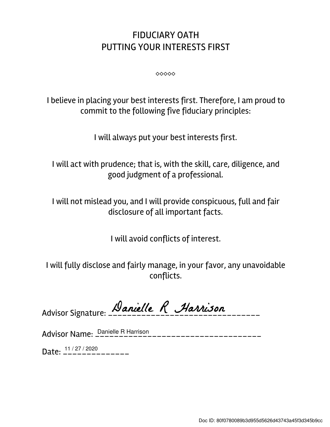## FIDUCIARY OATH PUTTING YOUR INTERESTS FIRST

⬥⬥⬥⬥⬥

I believe in placing your best interests first. Therefore, I am proud to commit to the following five fiduciary principles:

I will always put your best interests first.

I will act with prudence; that is, with the skill, care, diligence, and good judgment of a professional.

I will not mislead you, and I will provide conspicuous, full and fair disclosure of all important facts.

I will avoid conflicts of interest.

I will fully disclose and fairly manage, in your favor, any unavoidable conflicts.

Advisor Signature: Danielle R Harrison

Advisor Name: \_\_\_\_\_\_\_\_\_\_\_\_\_\_\_\_\_\_\_\_\_\_\_\_\_\_\_\_\_\_\_\_\_\_\_ Danielle R Harrison

Date:  $\frac{11/27/2020}{---------}$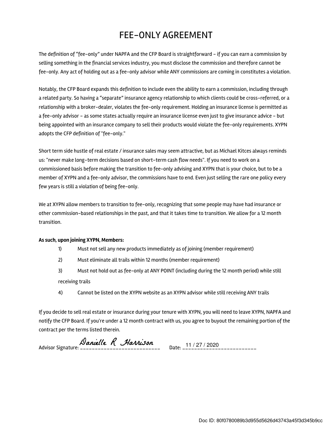## FEE-ONLY AGREEMENT

The definition of "fee-only" under NAPFA and the CFP Board is straightforward - if you can earn a commission by selling something in the financial services industry, you must disclose the commission and therefore cannot be fee-only. Any act of holding out as a fee-only advisor while ANY commissions are coming in constitutes a violation.

Notably, the CFP Board expands this definition to include even the ability to earn a commission, including through a related party. So having a "separate" insurance agency relationship to which clients could be cross-referred, or a relationship with a broker-dealer, violates the fee-only requirement. Holding an insurance license is permitted as a fee-only advisor - as some states actually require an insurance license even just to give insurance advice - but being appointed with an insurance company to sell their products would violate the fee-only requirements. XYPN adopts the CFP definition of "fee-only."

Short term side hustle of real estate / insurance sales may seem attractive, but as Michael Kitces always reminds us: "never make long-term decisions based on short-term cash flow needs". If you need to work on a commissioned basis before making the transition to fee-only advising and XYPN that is your choice, but to be a member of XYPN and a fee-only advisor, the commissions have to end. Even just selling the rare one policy every few years is still a violation of being fee-only.

We at XYPN allow members to transition to fee-only, recognizing that some people may have had insurance or other commission-based relationships in the past, and that it takes time to transition. We allow for a 12 month transition.

## As such, upon joining XYPN, Members:

- 1) Must not sell any new products immediately as of joining (member requirement)
- 2) Must eliminate all trails within 12 months (member requirement)
- 3) Must not hold out as fee-only at ANY POINT (including during the 12 month period) while still receiving trails
- 4) Cannot be listed on the XYPN website as an XYPN advisor while still receiving ANY trails

If you decide to sell real estate or insurance during your tenure with XYPN, you will need to leave XYPN, NAPFA and notify the CFP Board. If you're under a 12 month contract with us, you agree to buyout the remaining portion of the contract per the terms listed therein.

Advisor Signature: \_\_\_\_\_\_\_\_\_\_\_\_\_\_\_\_\_\_\_\_\_\_\_\_\_\_\_ Date: \_\_\_\_\_\_\_\_\_\_\_\_\_\_\_\_\_\_\_\_\_\_\_\_\_ 11 / 27 / 2020